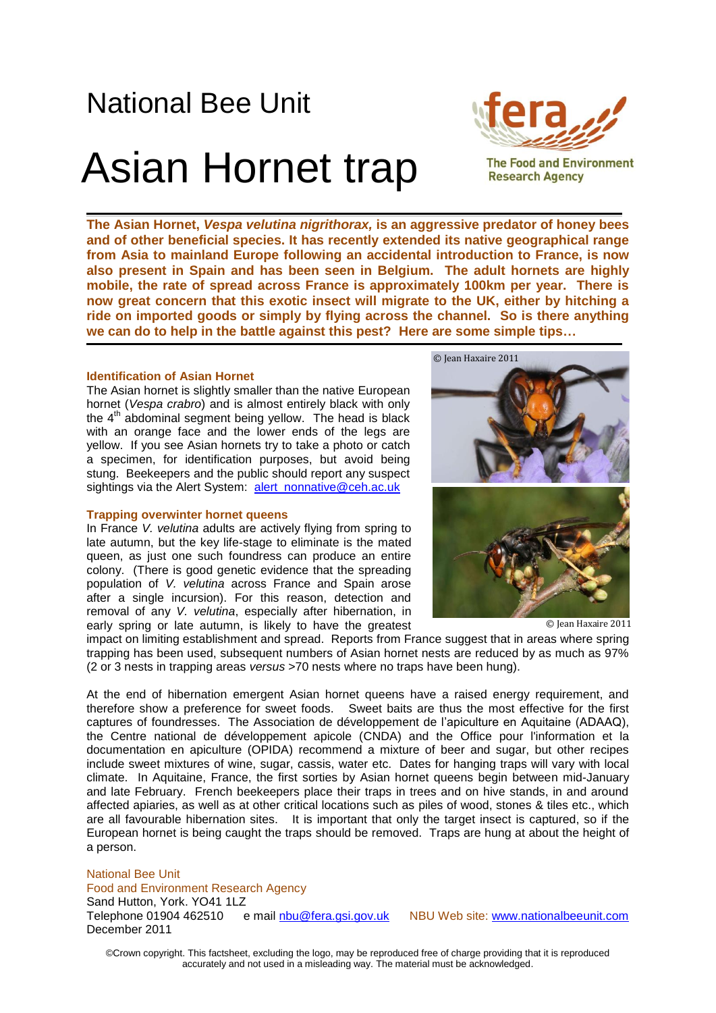# National Bee Unit

# Asian Hornet trap



**The Food and Environment Research Agency** 

**The Asian Hornet,** *Vespa velutina nigrithorax,* **is an aggressive predator of honey bees and of other beneficial species. It has recently extended its native geographical range from Asia to mainland Europe following an accidental introduction to France, is now also present in Spain and has been seen in Belgium. The adult hornets are highly mobile, the rate of spread across France is approximately 100km per year. There is now great concern that this exotic insect will migrate to the UK, either by hitching a ride on imported goods or simply by flying across the channel. So is there anything we can do to help in the battle against this pest? Here are some simple tips…**

### **Identification of Asian Hornet**

The Asian hornet is slightly smaller than the native European hornet (*Vespa crabro*) and is almost entirely black with only the  $4<sup>th</sup>$  abdominal segment being yellow. The head is black with an orange face and the lower ends of the legs are yellow. If you see Asian hornets try to take a photo or catch a specimen, for identification purposes, but avoid being stung. Beekeepers and the public should report any suspect sightings via the Alert System: [alert\\_nonnative@ceh.ac.uk](mailto:alert_nonnative@ceh.ac.uk)

### **Trapping overwinter hornet queens**

In France *V. velutina* adults are actively flying from spring to late autumn, but the key life-stage to eliminate is the mated queen, as just one such foundress can produce an entire colony. (There is good genetic evidence that the spreading population of *V. velutina* across France and Spain arose after a single incursion). For this reason, detection and removal of any *V. velutina*, especially after hibernation, in early spring or late autumn, is likely to have the greatest



© Jean Haxaire 2011

impact on limiting establishment and spread. Reports from France suggest that in areas where spring trapping has been used, subsequent numbers of Asian hornet nests are reduced by as much as 97% (2 or 3 nests in trapping areas *versus* >70 nests where no traps have been hung).

At the end of hibernation emergent Asian hornet queens have a raised energy requirement, and therefore show a preference for sweet foods. Sweet baits are thus the most effective for the first captures of foundresses. The Association de développement de l'apiculture en Aquitaine (ADAAQ), the Centre national de développement apicole (CNDA) and the Office pour l'information et la documentation en apiculture (OPIDA) recommend a mixture of beer and sugar, but other recipes include sweet mixtures of wine, sugar, cassis, water etc. Dates for hanging traps will vary with local climate. In Aquitaine, France, the first sorties by Asian hornet queens begin between mid-January and late February. French beekeepers place their traps in trees and on hive stands, in and around affected apiaries, as well as at other critical locations such as piles of wood, stones & tiles etc., which are all favourable hibernation sites. It is important that only the target insect is captured, so if the European hornet is being caught the traps should be removed. Traps are hung at about the height of a person.

#### National Bee Unit

Food and Environment Research Agency

Sand Hutton, York. YO41 1LZ

Telephone 01904 462510 e mail nbu@fera.gsi.gov.uk NBU Web site: www.nationalbeeunit.com December 2011

©Crown copyright. This factsheet, excluding the logo, may be reproduced free of charge providing that it is reproduced accurately and not used in a misleading way. The material must be acknowledged.